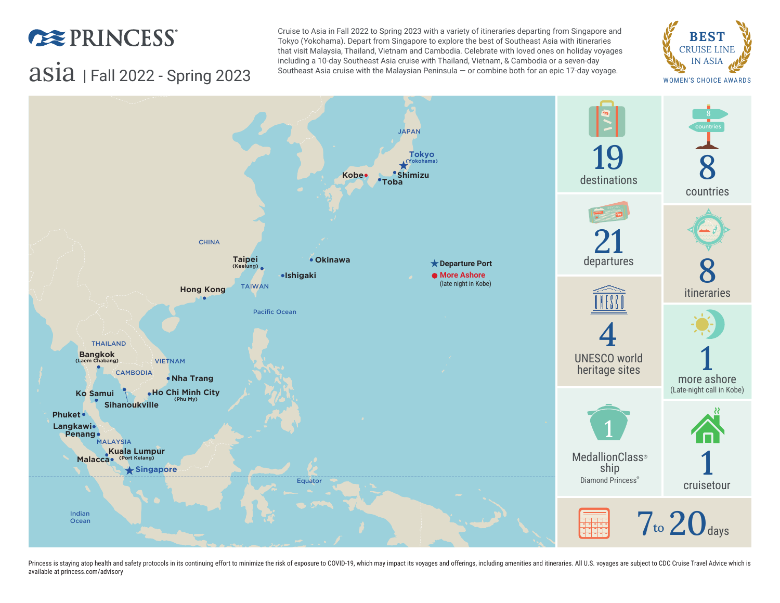

#### Including a 10-day Southeast Asia cruise with Thailand, Vietnam, & Cambodia or a seven-day<br>Southeast Asia cruise with the Malaysian Peninsula – or combine both for an epic 17-day voyage. We are wonking schoice AWARDS Cruise to Asia in Fall 2022 to Spring 2023 with a variety of itineraries departing from Singapore and Tokyo (Yokohama). Depart from Singapore to explore the best of Southeast Asia with itineraries that visit Malaysia, Thailand, Vietnam and Cambodia. Celebrate with loved ones on holiday voyages including a 10-day Southeast Asia cruise with Thailand, Vietnam, & Cambodia or a seven-day Southeast Asia cruise with the Malaysian Peninsula — or combine both for an epic 17-day voyage.





Princess is staying atop health and safety protocols in its continuing effort to minimize the risk of exposure to COVID-19, which may impact its voyages and offerings, including amenities and itineraries. All U.S. voyages available at [princess.com/advisory](http://princess.com/advisory)